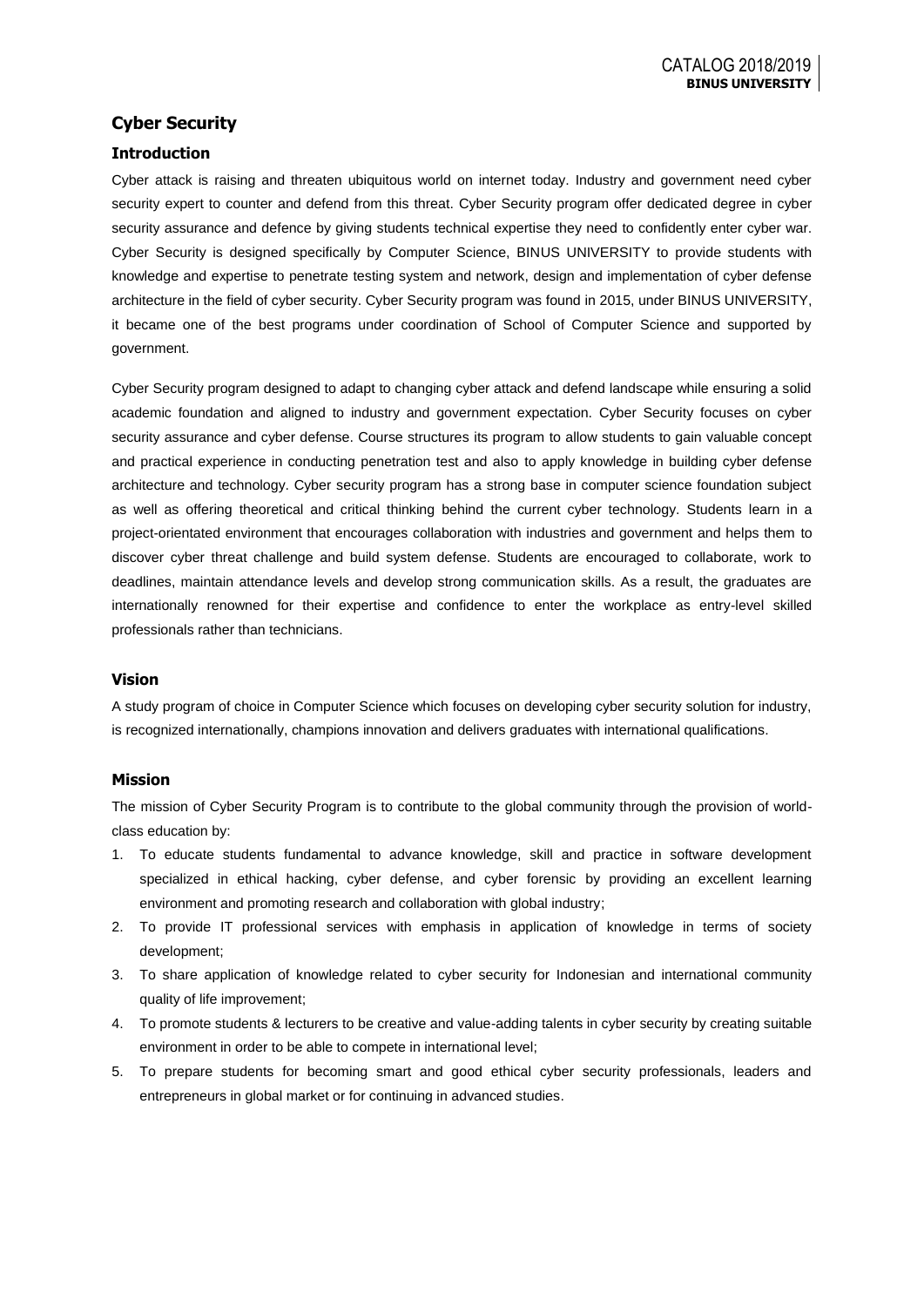## **Cyber Security**

## **Introduction**

Cyber attack is raising and threaten ubiquitous world on internet today. Industry and government need cyber security expert to counter and defend from this threat. Cyber Security program offer dedicated degree in cyber security assurance and defence by giving students technical expertise they need to confidently enter cyber war. Cyber Security is designed specifically by Computer Science, BINUS UNIVERSITY to provide students with knowledge and expertise to penetrate testing system and network, design and implementation of cyber defense architecture in the field of cyber security. Cyber Security program was found in 2015, under BINUS UNIVERSITY, it became one of the best programs under coordination of School of Computer Science and supported by government.

Cyber Security program designed to adapt to changing cyber attack and defend landscape while ensuring a solid academic foundation and aligned to industry and government expectation. Cyber Security focuses on cyber security assurance and cyber defense. Course structures its program to allow students to gain valuable concept and practical experience in conducting penetration test and also to apply knowledge in building cyber defense architecture and technology. Cyber security program has a strong base in computer science foundation subject as well as offering theoretical and critical thinking behind the current cyber technology. Students learn in a project-orientated environment that encourages collaboration with industries and government and helps them to discover cyber threat challenge and build system defense. Students are encouraged to collaborate, work to deadlines, maintain attendance levels and develop strong communication skills. As a result, the graduates are internationally renowned for their expertise and confidence to enter the workplace as entry-level skilled professionals rather than technicians.

## **Vision**

A study program of choice in Computer Science which focuses on developing cyber security solution for industry, is recognized internationally, champions innovation and delivers graduates with international qualifications.

#### **Mission**

The mission of Cyber Security Program is to contribute to the global community through the provision of worldclass education by:

- 1. To educate students fundamental to advance knowledge, skill and practice in software development specialized in ethical hacking, cyber defense, and cyber forensic by providing an excellent learning environment and promoting research and collaboration with global industry;
- 2. To provide IT professional services with emphasis in application of knowledge in terms of society development;
- 3. To share application of knowledge related to cyber security for Indonesian and international community quality of life improvement;
- 4. To promote students & lecturers to be creative and value-adding talents in cyber security by creating suitable environment in order to be able to compete in international level;
- 5. To prepare students for becoming smart and good ethical cyber security professionals, leaders and entrepreneurs in global market or for continuing in advanced studies.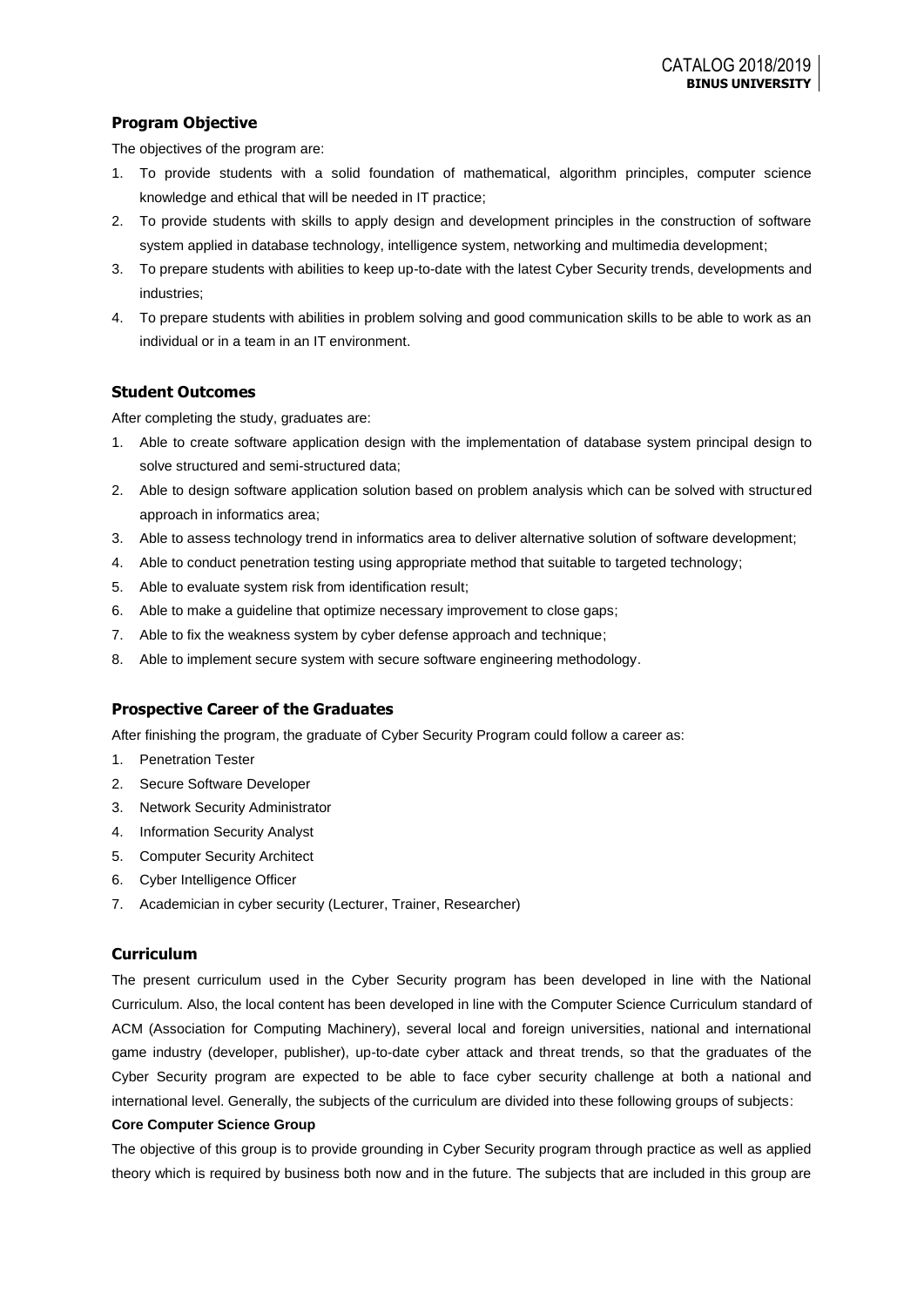## **Program Objective**

The objectives of the program are:

- 1. To provide students with a solid foundation of mathematical, algorithm principles, computer science knowledge and ethical that will be needed in IT practice;
- 2. To provide students with skills to apply design and development principles in the construction of software system applied in database technology, intelligence system, networking and multimedia development;
- 3. To prepare students with abilities to keep up-to-date with the latest Cyber Security trends, developments and industries;
- 4. To prepare students with abilities in problem solving and good communication skills to be able to work as an individual or in a team in an IT environment.

## **Student Outcomes**

After completing the study, graduates are:

- 1. Able to create software application design with the implementation of database system principal design to solve structured and semi-structured data;
- 2. Able to design software application solution based on problem analysis which can be solved with structured approach in informatics area;
- 3. Able to assess technology trend in informatics area to deliver alternative solution of software development;
- 4. Able to conduct penetration testing using appropriate method that suitable to targeted technology;
- 5. Able to evaluate system risk from identification result;
- 6. Able to make a guideline that optimize necessary improvement to close gaps;
- 7. Able to fix the weakness system by cyber defense approach and technique;
- 8. Able to implement secure system with secure software engineering methodology.

## **Prospective Career of the Graduates**

After finishing the program, the graduate of Cyber Security Program could follow a career as:

- 1. Penetration Tester
- 2. Secure Software Developer
- 3. Network Security Administrator
- 4. Information Security Analyst
- 5. Computer Security Architect
- 6. Cyber Intelligence Officer
- 7. Academician in cyber security (Lecturer, Trainer, Researcher)

## **Curriculum**

The present curriculum used in the Cyber Security program has been developed in line with the National Curriculum. Also, the local content has been developed in line with the Computer Science Curriculum standard of ACM (Association for Computing Machinery), several local and foreign universities, national and international game industry (developer, publisher), up-to-date cyber attack and threat trends, so that the graduates of the Cyber Security program are expected to be able to face cyber security challenge at both a national and international level. Generally, the subjects of the curriculum are divided into these following groups of subjects:

#### **Core Computer Science Group**

The objective of this group is to provide grounding in Cyber Security program through practice as well as applied theory which is required by business both now and in the future. The subjects that are included in this group are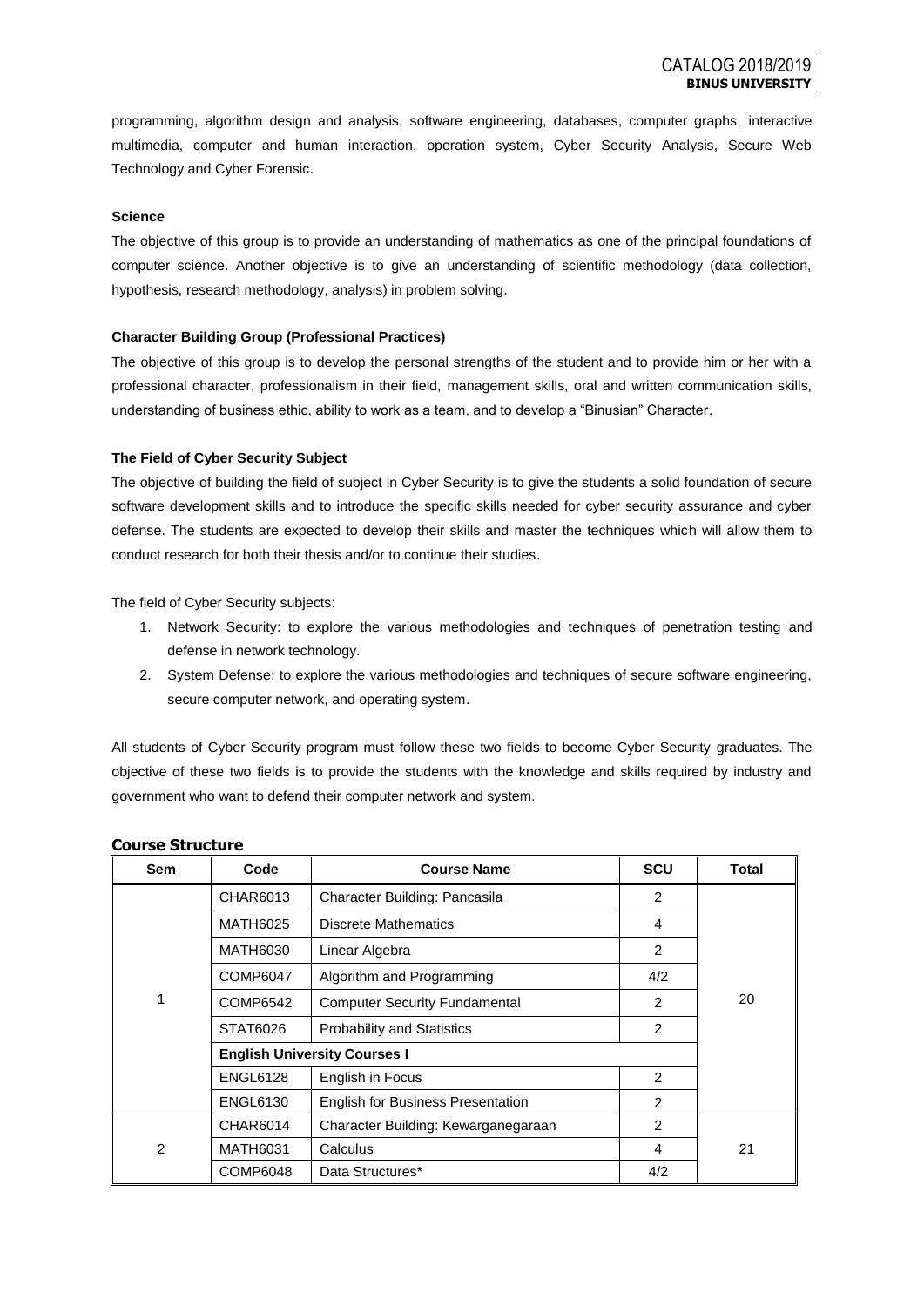programming, algorithm design and analysis, software engineering, databases, computer graphs, interactive multimedia, computer and human interaction, operation system, Cyber Security Analysis, Secure Web Technology and Cyber Forensic.

#### **Science**

The objective of this group is to provide an understanding of mathematics as one of the principal foundations of computer science. Another objective is to give an understanding of scientific methodology (data collection, hypothesis, research methodology, analysis) in problem solving.

#### **Character Building Group (Professional Practices)**

The objective of this group is to develop the personal strengths of the student and to provide him or her with a professional character, professionalism in their field, management skills, oral and written communication skills, understanding of business ethic, ability to work as a team, and to develop a "Binusian" Character.

#### **The Field of Cyber Security Subject**

The objective of building the field of subject in Cyber Security is to give the students a solid foundation of secure software development skills and to introduce the specific skills needed for cyber security assurance and cyber defense. The students are expected to develop their skills and master the techniques which will allow them to conduct research for both their thesis and/or to continue their studies.

The field of Cyber Security subjects:

- 1. Network Security: to explore the various methodologies and techniques of penetration testing and defense in network technology.
- 2. System Defense: to explore the various methodologies and techniques of secure software engineering, secure computer network, and operating system.

All students of Cyber Security program must follow these two fields to become Cyber Security graduates. The objective of these two fields is to provide the students with the knowledge and skills required by industry and government who want to defend their computer network and system.

| Sem | Code                                | <b>Course Name</b>                       | <b>SCU</b> | Total |
|-----|-------------------------------------|------------------------------------------|------------|-------|
|     | CHAR6013                            | Character Building: Pancasila            | 2          |       |
|     | MATH6025                            | <b>Discrete Mathematics</b>              | 4          |       |
|     | MATH6030                            | Linear Algebra                           | 2          |       |
|     | COMP6047                            | Algorithm and Programming                | 4/2        |       |
| 1   | COMP6542                            | <b>Computer Security Fundamental</b>     | 2          | 20    |
|     | STAT6026                            | <b>Probability and Statistics</b>        | 2          |       |
|     | <b>English University Courses I</b> |                                          |            |       |
|     | <b>ENGL6128</b>                     | English in Focus                         | 2          |       |
|     | <b>ENGL6130</b>                     | <b>English for Business Presentation</b> | 2          |       |
| 2   | CHAR6014                            | Character Building: Kewarganegaraan      | 2          |       |
|     | MATH6031                            | Calculus                                 | 4          | 21    |
|     | COMP6048                            | Data Structures*                         | 4/2        |       |

#### **Course Structure**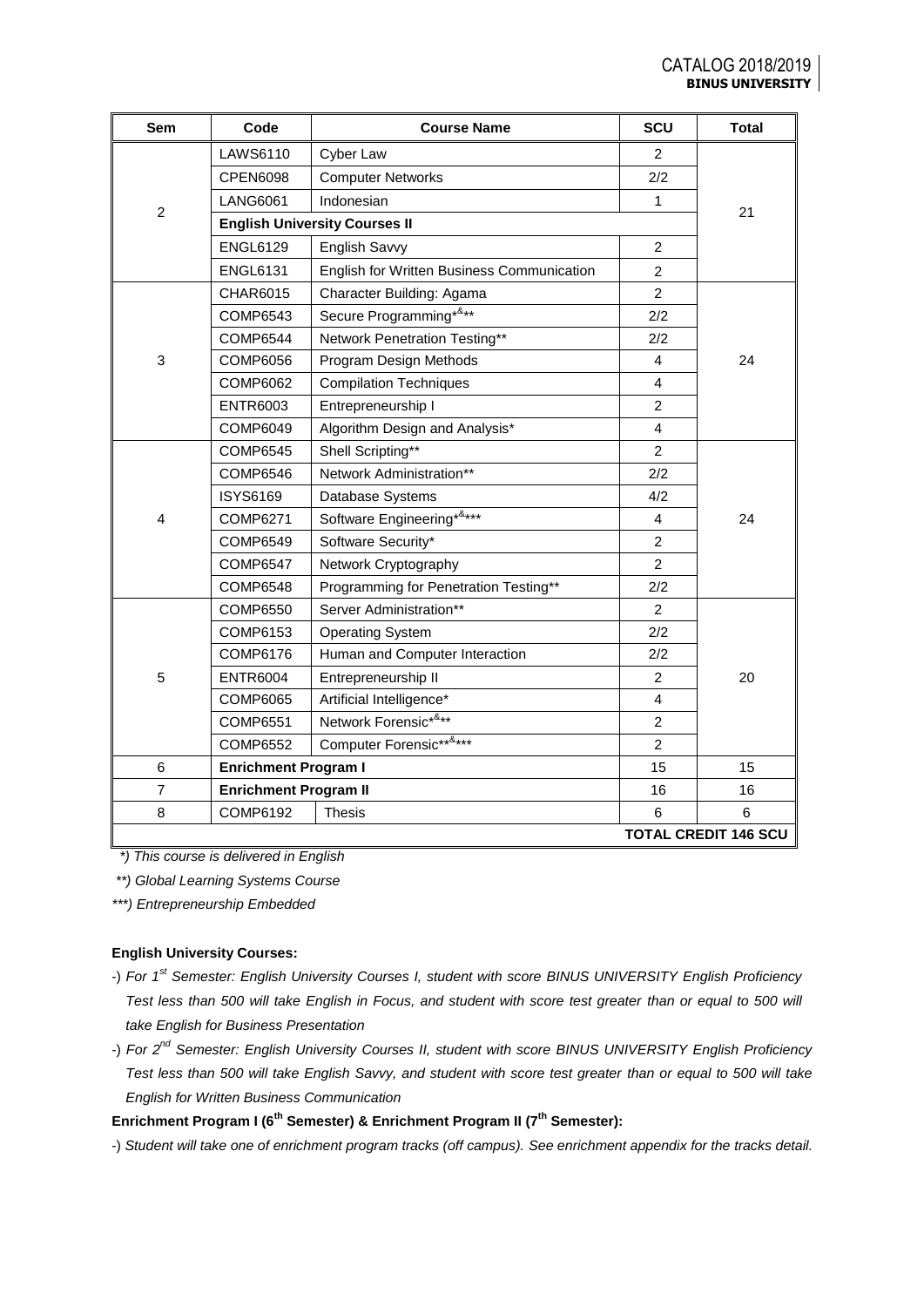| Sem                         | Code                         | <b>Course Name</b>                         | SCU            | <b>Total</b> |  |
|-----------------------------|------------------------------|--------------------------------------------|----------------|--------------|--|
|                             | <b>LAWS6110</b>              | Cyber Law                                  | $\overline{2}$ |              |  |
|                             | <b>CPEN6098</b>              | <b>Computer Networks</b>                   | 2/2            |              |  |
|                             | <b>LANG6061</b>              | Indonesian                                 | 1              | 21           |  |
| $\overline{2}$              |                              | <b>English University Courses II</b>       |                |              |  |
|                             | <b>ENGL6129</b>              | English Savvy                              | $\overline{2}$ |              |  |
|                             | <b>ENGL6131</b>              | English for Written Business Communication | $\overline{c}$ |              |  |
|                             | CHAR6015                     | Character Building: Agama                  | $\overline{2}$ |              |  |
|                             | COMP6543                     | Secure Programming*&**                     | 2/2            |              |  |
|                             | <b>COMP6544</b>              | Network Penetration Testing**              | 2/2            |              |  |
| 3                           | <b>COMP6056</b>              | Program Design Methods                     | 4              | 24           |  |
|                             | <b>COMP6062</b>              | <b>Compilation Techniques</b>              | 4              |              |  |
|                             | <b>ENTR6003</b>              | Entrepreneurship I                         | $\overline{c}$ |              |  |
|                             | COMP6049                     | Algorithm Design and Analysis*             | 4              |              |  |
|                             | <b>COMP6545</b>              | Shell Scripting**                          | $\overline{c}$ | 24           |  |
|                             | <b>COMP6546</b>              | Network Administration**                   | 2/2            |              |  |
|                             | <b>ISYS6169</b>              | Database Systems                           | 4/2            |              |  |
| 4                           | <b>COMP6271</b>              | Software Engineering*&***                  | 4              |              |  |
|                             | <b>COMP6549</b>              | Software Security*                         | $\overline{2}$ |              |  |
|                             | <b>COMP6547</b>              | Network Cryptography                       | $\overline{c}$ |              |  |
|                             | <b>COMP6548</b>              | Programming for Penetration Testing**      | 2/2            |              |  |
|                             | <b>COMP6550</b>              | Server Administration**                    | $\overline{2}$ |              |  |
|                             | COMP6153                     | <b>Operating System</b>                    | 2/2            |              |  |
|                             | <b>COMP6176</b>              | Human and Computer Interaction             | 2/2            |              |  |
| 5                           | <b>ENTR6004</b>              | Entrepreneurship II                        | $\overline{2}$ | 20           |  |
|                             | <b>COMP6065</b>              | Artificial Intelligence*                   | 4              |              |  |
|                             | <b>COMP6551</b>              | Network Forensic*&**                       | $\overline{c}$ |              |  |
|                             | <b>COMP6552</b>              | Computer Forensic******                    | $\overline{2}$ |              |  |
| 6                           | <b>Enrichment Program I</b>  |                                            | 15             | 15           |  |
| $\overline{7}$              | <b>Enrichment Program II</b> |                                            | 16             | 16           |  |
| 8                           | COMP6192                     | <b>Thesis</b>                              | 6              | 6            |  |
| <b>TOTAL CREDIT 146 SCU</b> |                              |                                            |                |              |  |

 *\*) This course is delivered in English*

*\*\*) Global Learning Systems Course*

*\*\*\*) Entrepreneurship Embedded*

## **English University Courses:**

- -) *For 1st Semester: English University Courses I, student with score BINUS UNIVERSITY English Proficiency Test less than 500 will take English in Focus, and student with score test greater than or equal to 500 will take English for Business Presentation*
- -) *For 2nd Semester: English University Courses II, student with score BINUS UNIVERSITY English Proficiency Test less than 500 will take English Savvy, and student with score test greater than or equal to 500 will take English for Written Business Communication*

## **Enrichment Program I (6th Semester) & Enrichment Program II (7th Semester):**

-) *Student will take one of enrichment program tracks (off campus). See enrichment appendix for the tracks detail.*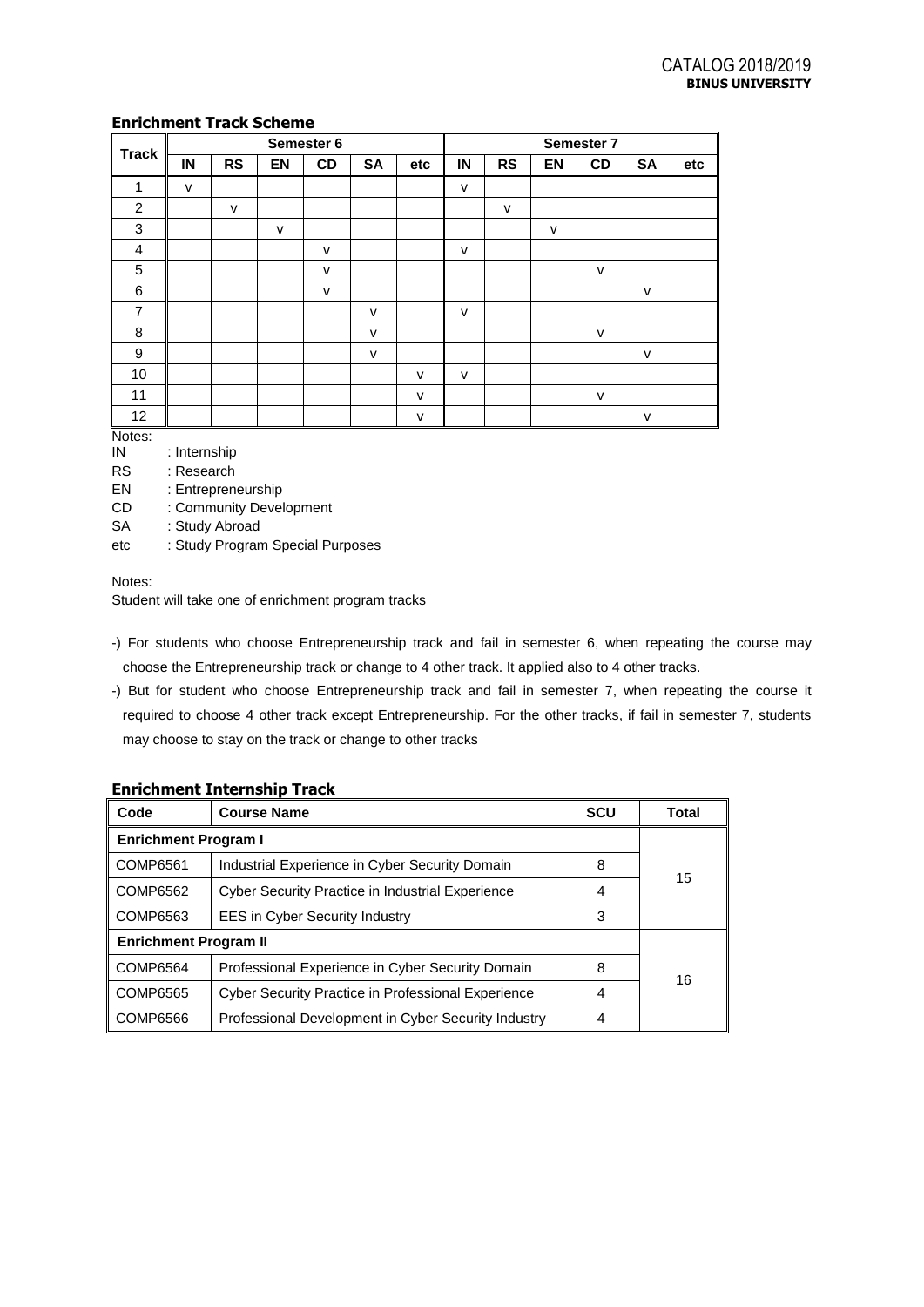## **Enrichment Track Scheme**

| <b>Track</b>   | Semester 6   |              |              |    |              |              |              | Semester 7   |              |              |              |     |
|----------------|--------------|--------------|--------------|----|--------------|--------------|--------------|--------------|--------------|--------------|--------------|-----|
|                | IN           | <b>RS</b>    | EN           | CD | <b>SA</b>    | etc          | IN           | <b>RS</b>    | <b>EN</b>    | CD           | <b>SA</b>    | etc |
| 1              | $\mathsf{v}$ |              |              |    |              |              | $\mathsf{v}$ |              |              |              |              |     |
| 2              |              | $\mathsf{v}$ |              |    |              |              |              | $\mathsf{v}$ |              |              |              |     |
| 3              |              |              | $\mathsf{v}$ |    |              |              |              |              | $\mathsf{v}$ |              |              |     |
| 4              |              |              |              | v  |              |              | $\mathsf{v}$ |              |              |              |              |     |
| 5              |              |              |              | v  |              |              |              |              |              | $\vee$       |              |     |
| 6              |              |              |              | v  |              |              |              |              |              |              | $\mathsf{v}$ |     |
| $\overline{7}$ |              |              |              |    | v            |              | $\mathsf{V}$ |              |              |              |              |     |
| 8              |              |              |              |    | $\mathsf{v}$ |              |              |              |              | $\mathsf{v}$ |              |     |
| 9              |              |              |              |    | $\mathsf{v}$ |              |              |              |              |              | $\mathsf{v}$ |     |
| 10             |              |              |              |    |              | $\vee$       | $\vee$       |              |              |              |              |     |
| 11             |              |              |              |    |              | $\mathsf{v}$ |              |              |              | $\mathsf{v}$ |              |     |
| 12             |              |              |              |    |              | v            |              |              |              |              | v            |     |

Notes:

IN : Internship

RS : Research

EN : Entrepreneurship

CD : Community Development

SA : Study Abroad

etc : Study Program Special Purposes

## Notes:

Student will take one of enrichment program tracks

- -) For students who choose Entrepreneurship track and fail in semester 6, when repeating the course may choose the Entrepreneurship track or change to 4 other track. It applied also to 4 other tracks.
- -) But for student who choose Entrepreneurship track and fail in semester 7, when repeating the course it required to choose 4 other track except Entrepreneurship. For the other tracks, if fail in semester 7, students may choose to stay on the track or change to other tracks

## **Enrichment Internship Track**

| Code                         | <b>Course Name</b>                                        | <b>SCU</b> | Total |  |  |
|------------------------------|-----------------------------------------------------------|------------|-------|--|--|
| <b>Enrichment Program I</b>  |                                                           |            |       |  |  |
| COMP6561                     | Industrial Experience in Cyber Security Domain            | 8          | 15    |  |  |
| COMP6562                     | Cyber Security Practice in Industrial Experience          | 4          |       |  |  |
| CCOMP6563                    | <b>EES in Cyber Security Industry</b>                     | 3          |       |  |  |
| <b>Enrichment Program II</b> |                                                           |            |       |  |  |
| COMP6564                     | Professional Experience in Cyber Security Domain          | 8          | 16    |  |  |
| COMP6565                     | <b>Cyber Security Practice in Professional Experience</b> | 4          |       |  |  |
| COMP6566                     | Professional Development in Cyber Security Industry       | 4          |       |  |  |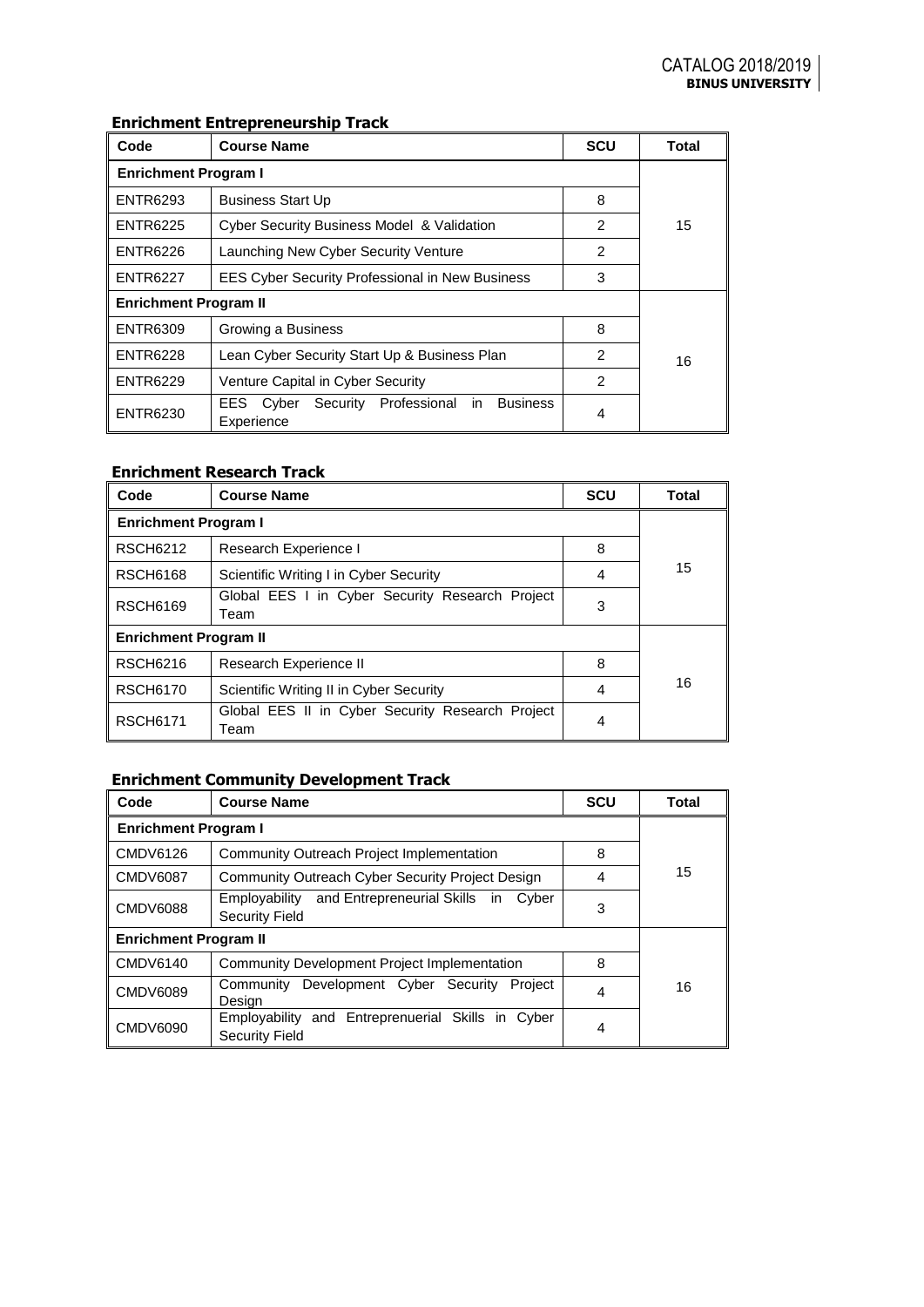# **Enrichment Entrepreneurship Track**

| Code                         | <b>Course Name</b>                                                                  | <b>SCU</b>     | Total |  |  |  |
|------------------------------|-------------------------------------------------------------------------------------|----------------|-------|--|--|--|
| <b>Enrichment Program I</b>  |                                                                                     |                |       |  |  |  |
| <b>ENTR6293</b>              | <b>Business Start Up</b>                                                            | 8              |       |  |  |  |
| <b>ENTR6225</b>              | <b>Cyber Security Business Model &amp; Validation</b>                               | $\mathfrak{p}$ | 15    |  |  |  |
| ENTR6226                     | Launching New Cyber Security Venture                                                | $\overline{2}$ |       |  |  |  |
| <b>ENTR6227</b>              | <b>EES Cyber Security Professional in New Business</b>                              | 3              |       |  |  |  |
| <b>Enrichment Program II</b> |                                                                                     |                |       |  |  |  |
| <b>ENTR6309</b>              | Growing a Business                                                                  | 8              |       |  |  |  |
| <b>ENTR6228</b>              | Lean Cyber Security Start Up & Business Plan                                        | $\mathcal{P}$  | 16    |  |  |  |
| <b>ENTR6229</b>              | Venture Capital in Cyber Security                                                   |                |       |  |  |  |
| ENTR6230                     | Security Professional<br><b>Business</b><br><b>EES</b><br>Cyber<br>in<br>Experience | 4              |       |  |  |  |

## **Enrichment Research Track**

| Code                                                                       | <b>Course Name</b>                                       | <b>SCU</b> | Total |  |  |
|----------------------------------------------------------------------------|----------------------------------------------------------|------------|-------|--|--|
| <b>Enrichment Program I</b>                                                |                                                          |            |       |  |  |
| <b>RSCH6212</b>                                                            | Research Experience I                                    | 8          |       |  |  |
| <b>RSCH6168</b>                                                            | Scientific Writing I in Cyber Security                   | 4          | 15    |  |  |
| Global EES I in Cyber Security Research Project<br><b>RSCH6169</b><br>Team |                                                          | 3          |       |  |  |
| <b>Enrichment Program II</b>                                               |                                                          |            |       |  |  |
| <b>RSCH6216</b>                                                            | Research Experience II                                   | 8          |       |  |  |
| <b>RSCH6170</b>                                                            | Scientific Writing II in Cyber Security                  | 4          | 16    |  |  |
| <b>RSCH6171</b>                                                            | Global EES II in Cyber Security Research Project<br>Team | 4          |       |  |  |

# **Enrichment Community Development Track**

| Code                                                                                         | <b>Course Name</b>                                                            | <b>SCU</b> | Total |  |  |
|----------------------------------------------------------------------------------------------|-------------------------------------------------------------------------------|------------|-------|--|--|
| <b>Enrichment Program I</b>                                                                  |                                                                               |            |       |  |  |
| CMDV6126                                                                                     | Community Outreach Project Implementation                                     | 8          |       |  |  |
| CMDV6087                                                                                     | Community Outreach Cyber Security Project Design                              | 4          | 15    |  |  |
| and Entrepreneurial Skills in<br>Employability<br>Cyber<br>CMDV6088<br><b>Security Field</b> |                                                                               | 3          |       |  |  |
| <b>Enrichment Program II</b>                                                                 |                                                                               |            |       |  |  |
| <b>CMDV6140</b>                                                                              | <b>Community Development Project Implementation</b>                           | 8          |       |  |  |
| <b>CMDV6089</b>                                                                              | Development Cyber Security<br>Community<br>Project<br>Design                  |            | 16    |  |  |
| CMDV6090                                                                                     | and Entreprenuerial Skills in Cyber<br>Employability<br><b>Security Field</b> | 4          |       |  |  |